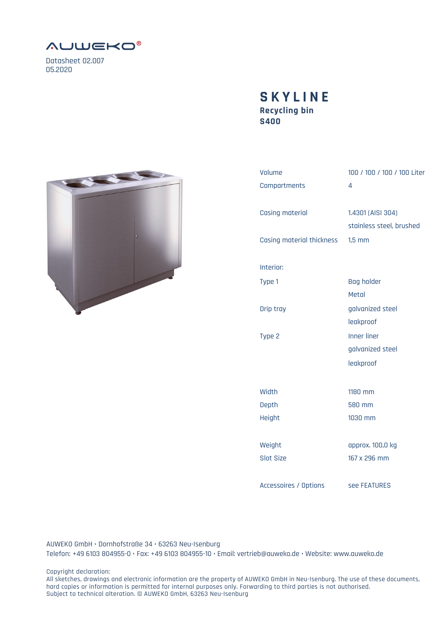

Datasheet 02.007 05.2020

## **Recycling bin S400 SKYLINE**



| Volume                    | 100 / 100 / 100 / 100 Liter                   |
|---------------------------|-----------------------------------------------|
| Compartments              | 4                                             |
| <b>Casing material</b>    | 1.4301 (AISI 304)<br>stainless steel, brushed |
| Casing material thickness | $1,5$ mm                                      |
| Interior:                 |                                               |
| Type 1                    | <b>Bag holder</b><br>Metal                    |
| Drip tray                 | galvanized steel<br>leakproof                 |
| Type 2                    | <b>Inner liner</b><br>galvanized steel        |
|                           | leakproof                                     |
| Width                     | 1180 mm                                       |
| Depth                     | 580 mm                                        |
| Height                    | 1030 mm                                       |
| Weight                    | approx. 100,0 kg                              |
| <b>Slot Size</b>          | 167 x 296 mm                                  |
| Accessoires / Options     | see FEATURES                                  |

AUWEKO GmbH • Dornhofstraße 34 • 63263 Neu-Isenburg Telefon: +49 6103 804955-0 • Fax: +49 6103 804955-10 • Email: vertrieb@auweko.de • Website: www.auweko.de

Copyright declaration:

All sketches, drawings and electronic information are the property of AUWEKO GmbH in Neu-Isenburg. The use of these documents, hard copies or information is permitted for internal purposes only. Forwarding to third parties is not authorised. Subject to technical alteration. © AUWEKO GmbH, 63263 Neu-Isenburg